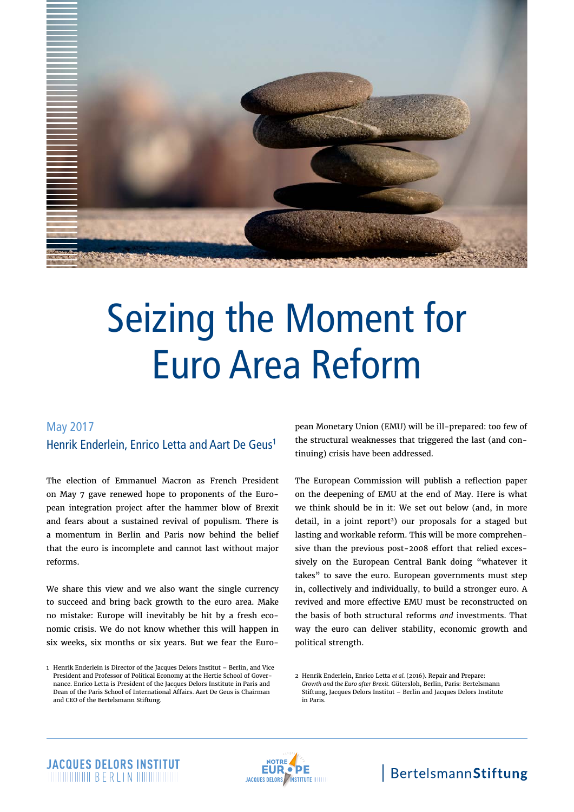

# Seizing the Moment for Euro Area Reform

### May 2017 Henrik Enderlein, Enrico Letta and Aart De Geus1

The election of Emmanuel Macron as French President on May 7 gave renewed hope to proponents of the European integration project after the hammer blow of Brexit and fears about a sustained revival of populism. There is a momentum in Berlin and Paris now behind the belief that the euro is incomplete and cannot last without major reforms.

We share this view and we also want the single currency to succeed and bring back growth to the euro area. Make no mistake: Europe will inevitably be hit by a fresh economic crisis. We do not know whether this will happen in six weeks, six months or six years. But we fear the European Monetary Union (EMU) will be ill-prepared: too few of the structural weaknesses that triggered the last (and continuing) crisis have been addressed.

The European Commission will publish a reflection paper on the deepening of EMU at the end of May. Here is what we think should be in it: We set out below (and, in more detail, in a joint report<sup>2</sup>) our proposals for a staged but lasting and workable reform. This will be more comprehensive than the previous post-2008 effort that relied excessively on the European Central Bank doing "whatever it takes" to save the euro. European governments must step in, collectively and individually, to build a stronger euro. A revived and more effective EMU must be reconstructed on the basis of both structural reforms *and* investments. That way the euro can deliver stability, economic growth and political strength.



<sup>1</sup> Henrik Enderlein is Director of the Jacques Delors Institut – Berlin, and Vice President and Professor of Political Economy at the Hertie School of Governance. Enrico Letta is President of the Jacques Delors Institute in Paris and Dean of the Paris School of International Affairs. Aart De Geus is Chairman and CEO of the Bertelsmann Stiftung.

<sup>2</sup> [Henrik Enderlein, Enrico Letta](http://www.strengthentheeuro.eu/en/homepage/publications/publication/did/repair-and-prepare-growth-and-the-euro-after-brexit/) *et al.* (2016). Repair and Prepare: *Growth and the Euro after Brexit.* [Gütersloh, Berlin, Paris: Bertelsmann](http://www.strengthentheeuro.eu/en/homepage/publications/publication/did/repair-and-prepare-growth-and-the-euro-after-brexit/)  [Stiftung, Jacques Delors Institut – Berlin and Jacques Delors Institute](http://www.strengthentheeuro.eu/en/homepage/publications/publication/did/repair-and-prepare-growth-and-the-euro-after-brexit/)  [in Paris.](http://www.strengthentheeuro.eu/en/homepage/publications/publication/did/repair-and-prepare-growth-and-the-euro-after-brexit/)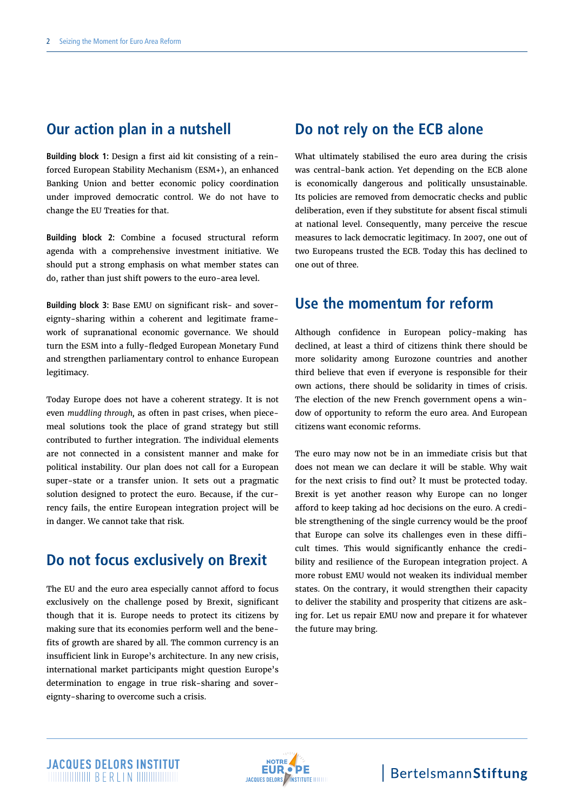# **Our action plan in a nutshell**

**Building block 1:** Design a first aid kit consisting of a reinforced European Stability Mechanism (ESM+), an enhanced Banking Union and better economic policy coordination under improved democratic control. We do not have to change the EU Treaties for that.

**Building block 2:** Combine a focused structural reform agenda with a comprehensive investment initiative. We should put a strong emphasis on what member states can do, rather than just shift powers to the euro-area level.

**Building block 3:** Base EMU on significant risk- and sovereignty-sharing within a coherent and legitimate framework of supranational economic governance. We should turn the ESM into a fully-fledged European Monetary Fund and strengthen parliamentary control to enhance European legitimacy.

Today Europe does not have a coherent strategy. It is not even *muddling through,* as often in past crises, when piecemeal solutions took the place of grand strategy but still contributed to further integration. The individual elements are not connected in a consistent manner and make for political instability. Our plan does not call for a European super-state or a transfer union. It sets out a pragmatic solution designed to protect the euro. Because, if the currency fails, the entire European integration project will be in danger. We cannot take that risk.

# **Do not focus exclusively on Brexit**

The EU and the euro area especially cannot afford to focus exclusively on the challenge posed by Brexit, significant though that it is. Europe needs to protect its citizens by making sure that its economies perform well and the benefits of growth are shared by all. The common currency is an insufficient link in Europe's architecture. In any new crisis, international market participants might question Europe's determination to engage in true risk-sharing and sovereignty-sharing to overcome such a crisis.

# **Do not rely on the ECB alone**

What ultimately stabilised the euro area during the crisis was central-bank action. Yet depending on the ECB alone is economically dangerous and politically unsustainable. Its policies are removed from democratic checks and public deliberation, even if they substitute for absent fiscal stimuli at national level. Consequently, many perceive the rescue measures to lack democratic legitimacy. In 2007, one out of two Europeans trusted the ECB. Today this has declined to one out of three.

# **Use the momentum for reform**

Although confidence in European policy-making has declined, at least a third of citizens think there should be more solidarity among Eurozone countries and another third believe that even if everyone is responsible for their own actions, there should be solidarity in times of crisis. The election of the new French government opens a window of opportunity to reform the euro area. And European citizens want economic reforms.

The euro may now not be in an immediate crisis but that does not mean we can declare it will be stable. Why wait for the next crisis to find out? It must be protected today. Brexit is yet another reason why Europe can no longer afford to keep taking ad hoc decisions on the euro. A credible strengthening of the single currency would be the proof that Europe can solve its challenges even in these difficult times. This would significantly enhance the credibility and resilience of the European integration project. A more robust EMU would not weaken its individual member states. On the contrary, it would strengthen their capacity to deliver the stability and prosperity that citizens are asking for. Let us repair EMU now and prepare it for whatever the future may bring.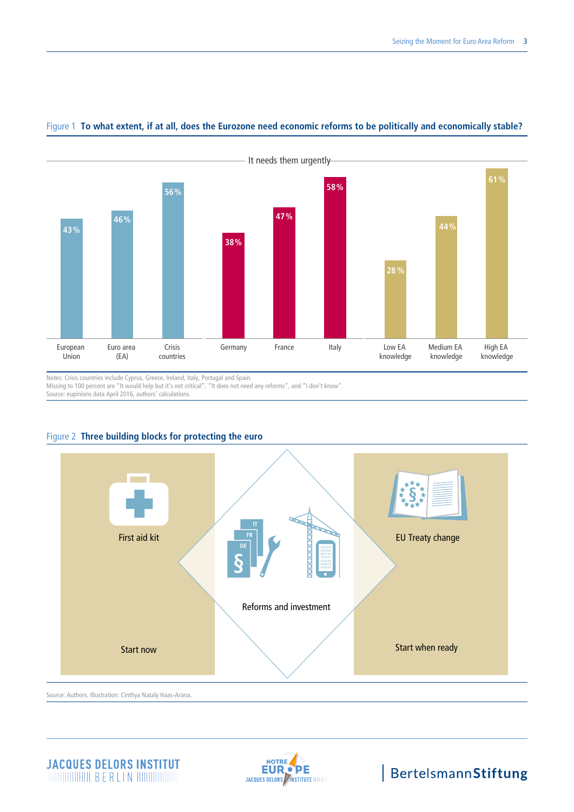

### Figure 1 **To what extent, if at all, does the Eurozone need economic reforms to be politically and economically stable?**

Notes: Crisis countries include Cyprus, Greece, Ireland, Italy, Portugal and Spain.

Missing to 100 percent are "It would help but it's not critical", "It does not need any reforms", and "I don't know".

Source: eupinions data April 2016, authors' calculations.



### Figure 2 **Three building blocks for protecting the euro**

### **JACQUES DELORS INSTITUT MUNICIPALITY OF BERLIN MUNICIPALITY**

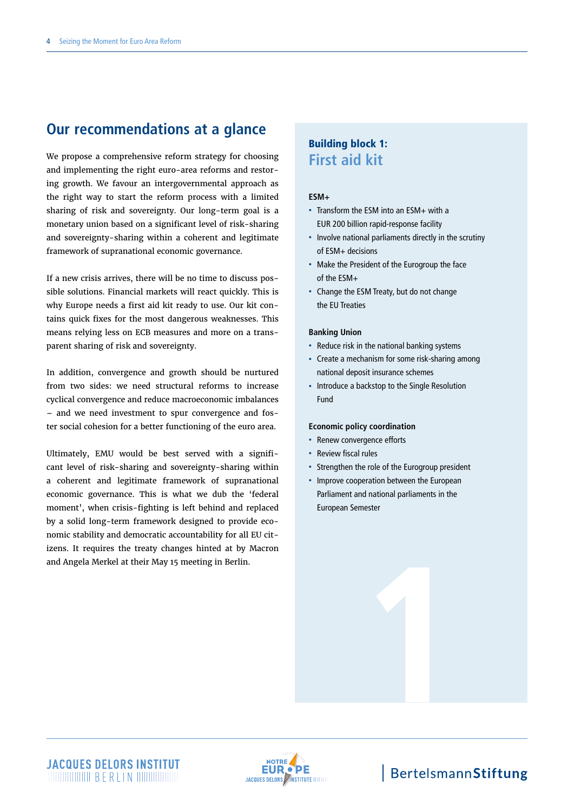# **Our recommendations at a glance**

We propose a comprehensive reform strategy for choosing and implementing the right euro-area reforms and restoring growth. We favour an intergovernmental approach as the right way to start the reform process with a limited sharing of risk and sovereignty. Our long-term goal is a monetary union based on a significant level of risk-sharing and sovereignty-sharing within a coherent and legitimate framework of supranational economic governance.

If a new crisis arrives, there will be no time to discuss possible solutions. Financial markets will react quickly. This is why Europe needs a first aid kit ready to use. Our kit contains quick fixes for the most dangerous weaknesses. This means relying less on ECB measures and more on a transparent sharing of risk and sovereignty.

In addition, convergence and growth should be nurtured from two sides: we need structural reforms to increase cyclical convergence and reduce macroeconomic imbalances – and we need investment to spur convergence and foster social cohesion for a better functioning of the euro area.

Ultimately, EMU would be best served with a significant level of risk-sharing and sovereignty-sharing within a coherent and legitimate framework of supranational economic governance. This is what we dub the 'federal moment', when crisis-fighting is left behind and replaced by a solid long-term framework designed to provide economic stability and democratic accountability for all EU citizens. It requires the treaty changes hinted at by Macron and Angela Merkel at their May 15 meeting in Berlin.

### Building block 1: **First aid kit**

#### **ESM+**

- Transform the ESM into an ESM+ with a EUR 200 billion rapid-response facility
- Involve national parliaments directly in the scrutiny of ESM+ decisions
- Make the President of the Eurogroup the face of the ESM+
- Change the ESM Treaty, but do not change the EU Treaties

#### **Banking Union**

- Reduce risk in the national banking systems
- Create a mechanism for some risk-sharing among national deposit insurance schemes
- Introduce a backstop to the Single Resolution Fund

#### **Economic policy coordination**

- Renew convergence efforts
- Review fiscal rules
- Strengthen the role of the Eurogroup president

**1**

• Improve cooperation between the European Parliament and national parliaments in the European Semester

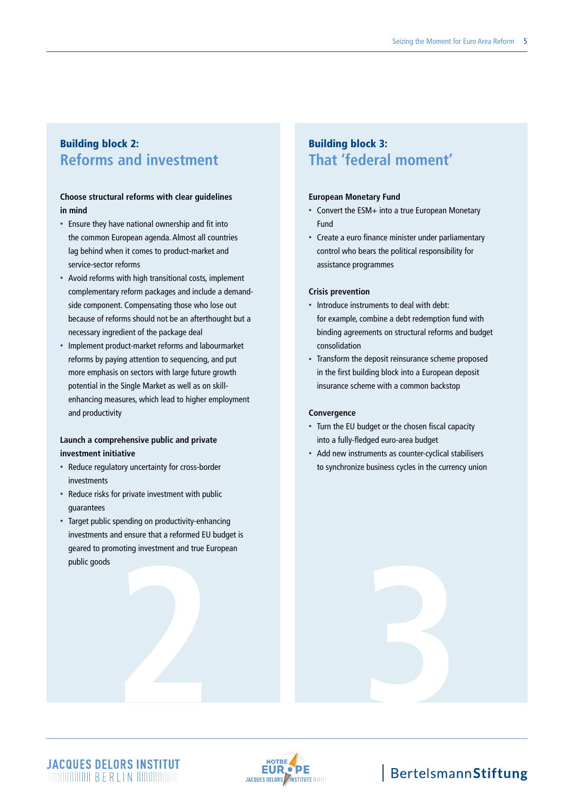## Building block 2: **Reforms and investment**

### **Choose structural reforms with clear guidelines in mind**

- Ensure they have national ownership and fit into the common European agenda. Almost all countries lag behind when it comes to product-market and service-sector reforms
- Avoid reforms with high transitional costs, implement complementary reform packages and include a demandside component. Compensating those who lose out because of reforms should not be an afterthought but a necessary ingredient of the package deal
- Implement product-market reforms and labourmarket reforms by paying attention to sequencing, and put more emphasis on sectors with large future growth potential in the Single Market as well as on skillenhancing measures, which lead to higher employment and productivity

### **Launch a comprehensive public and private investment initiative**

- Reduce regulatory uncertainty for cross-border investments
- Reduce risks for private investment with public guarantees
- **2 3** • Target public spending on productivity-enhancing investments and ensure that a reformed EU budget is geared to promoting investment and true European public goods

## Building block 3: **That 'federal moment'**

### **European Monetary Fund**

- Convert the ESM+ into a true European Monetary Fund
- Create a euro finance minister under parliamentary control who bears the political responsibility for assistance programmes

#### **Crisis prevention**

- Introduce instruments to deal with debt: for example, combine a debt redemption fund with binding agreements on structural reforms and budget consolidation
- Transform the deposit reinsurance scheme proposed in the first building block into a European deposit insurance scheme with a common backstop

### **Convergence**

- Turn the EU budget or the chosen fiscal capacity into a fully-fledged euro-area budget
- Add new instruments as counter-cyclical stabilisers to synchronize business cycles in the currency union